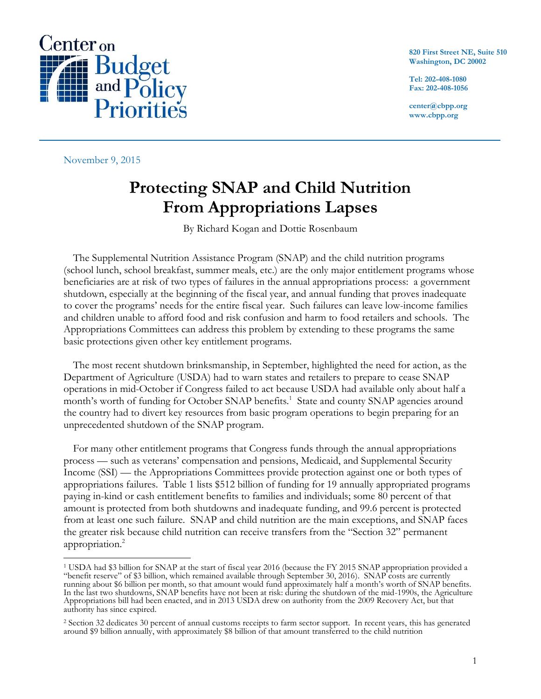

**820 First Street NE, Suite 510 Washington, DC 20002**

**Tel: 202-408-1080 Fax: 202-408-1056**

**center@cbpp.org www.cbpp.org**

November 9, 2015

## **Protecting SNAP and Child Nutrition From Appropriations Lapses**

By Richard Kogan and Dottie Rosenbaum

The Supplemental Nutrition Assistance Program (SNAP) and the child nutrition programs (school lunch, school breakfast, summer meals, etc.) are the only major entitlement programs whose beneficiaries are at risk of two types of failures in the annual appropriations process: a government shutdown, especially at the beginning of the fiscal year, and annual funding that proves inadequate to cover the programs' needs for the entire fiscal year. Such failures can leave low-income families and children unable to afford food and risk confusion and harm to food retailers and schools. The Appropriations Committees can address this problem by extending to these programs the same basic protections given other key entitlement programs.

The most recent shutdown brinksmanship, in September, highlighted the need for action, as the Department of Agriculture (USDA) had to warn states and retailers to prepare to cease SNAP operations in mid-October if Congress failed to act because USDA had available only about half a month's worth of funding for October SNAP benefits.<sup>1</sup> State and county SNAP agencies around the country had to divert key resources from basic program operations to begin preparing for an unprecedented shutdown of the SNAP program.

For many other entitlement programs that Congress funds through the annual appropriations process — such as veterans' compensation and pensions, Medicaid, and Supplemental Security Income (SSI) — the Appropriations Committees provide protection against one or both types of appropriations failures. Table 1 lists \$512 billion of funding for 19 annually appropriated programs paying in-kind or cash entitlement benefits to families and individuals; some 80 percent of that amount is protected from both shutdowns and inadequate funding, and 99.6 percent is protected from at least one such failure. SNAP and child nutrition are the main exceptions, and SNAP faces the greater risk because child nutrition can receive transfers from the "Section 32" permanent appropriation. 2

 $\overline{a}$ <sup>1</sup> USDA had \$3 billion for SNAP at the start of fiscal year 2016 (because the FY 2015 SNAP appropriation provided a "benefit reserve" of \$3 billion, which remained available through September 30, 2016). SNAP costs are currently running about \$6 billion per month, so that amount would fund approximately half a month's worth of SNAP benefits. In the last two shutdowns, SNAP benefits have not been at risk: during the shutdown of the mid-1990s, the Agriculture Appropriations bill had been enacted, and in 2013 USDA drew on authority from the 2009 Recovery Act, but that authority has since expired.

<sup>2</sup> Section 32 dedicates 30 percent of annual customs receipts to farm sector support. In recent years, this has generated around \$9 billion annually, with approximately \$8 billion of that amount transferred to the child nutrition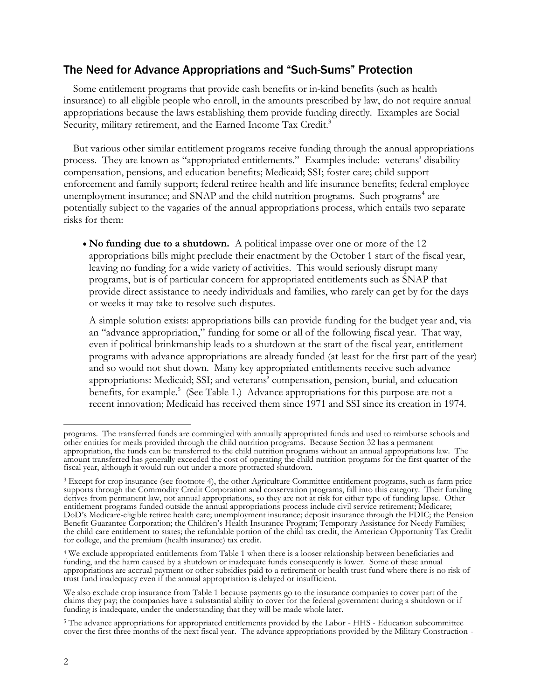## The Need for Advance Appropriations and "Such-Sums" Protection

Some entitlement programs that provide cash benefits or in-kind benefits (such as health insurance) to all eligible people who enroll, in the amounts prescribed by law, do not require annual appropriations because the laws establishing them provide funding directly. Examples are Social Security, military retirement, and the Earned Income Tax Credit.<sup>3</sup>

But various other similar entitlement programs receive funding through the annual appropriations process. They are known as "appropriated entitlements." Examples include: veterans' disability compensation, pensions, and education benefits; Medicaid; SSI; foster care; child support enforcement and family support; federal retiree health and life insurance benefits; federal employee unemployment insurance; and SNAP and the child nutrition programs. Such programs<sup>4</sup> are potentially subject to the vagaries of the annual appropriations process, which entails two separate risks for them:

 **No funding due to a shutdown.** A political impasse over one or more of the 12 appropriations bills might preclude their enactment by the October 1 start of the fiscal year, leaving no funding for a wide variety of activities. This would seriously disrupt many programs, but is of particular concern for appropriated entitlements such as SNAP that provide direct assistance to needy individuals and families, who rarely can get by for the days or weeks it may take to resolve such disputes.

A simple solution exists: appropriations bills can provide funding for the budget year and, via an "advance appropriation," funding for some or all of the following fiscal year. That way, even if political brinkmanship leads to a shutdown at the start of the fiscal year, entitlement programs with advance appropriations are already funded (at least for the first part of the year) and so would not shut down. Many key appropriated entitlements receive such advance appropriations: Medicaid; SSI; and veterans' compensation, pension, burial, and education benefits, for example.<sup>5</sup> (See Table 1.) Advance appropriations for this purpose are not a recent innovation; Medicaid has received them since 1971 and SSI since its creation in 1974.

 $\overline{a}$ programs. The transferred funds are commingled with annually appropriated funds and used to reimburse schools and other entities for meals provided through the child nutrition programs. Because Section 32 has a permanent appropriation, the funds can be transferred to the child nutrition programs without an annual appropriations law. The amount transferred has generally exceeded the cost of operating the child nutrition programs for the first quarter of the fiscal year, although it would run out under a more protracted shutdown.

<sup>3</sup> Except for crop insurance (see footnote 4), the other Agriculture Committee entitlement programs, such as farm price supports through the Commodity Credit Corporation and conservation programs, fall into this category. Their funding derives from permanent law, not annual appropriations, so they are not at risk for either type of funding lapse. Other entitlement programs funded outside the annual appropriations process include civil service retirement; Medicare; DoD's Medicare-eligible retiree health care; unemployment insurance; deposit insurance through the FDIC; the Pension Benefit Guarantee Corporation; the Children's Health Insurance Program; Temporary Assistance for Needy Families; the child care entitlement to states; the refundable portion of the child tax credit, the American Opportunity Tax Credit for college, and the premium (health insurance) tax credit.

<sup>4</sup> We exclude appropriated entitlements from Table 1 when there is a looser relationship between beneficiaries and funding, and the harm caused by a shutdown or inadequate funds consequently is lower. Some of these annual appropriations are accrual payment or other subsidies paid to a retirement or health trust fund where there is no risk of trust fund inadequacy even if the annual appropriation is delayed or insufficient.

We also exclude crop insurance from Table 1 because payments go to the insurance companies to cover part of the claims they pay; the companies have a substantial ability to cover for the federal government during a shutdown or if funding is inadequate, under the understanding that they will be made whole later.

<sup>5</sup> The advance appropriations for appropriated entitlements provided by the Labor - HHS - Education subcommittee cover the first three months of the next fiscal year. The advance appropriations provided by the Military Construction -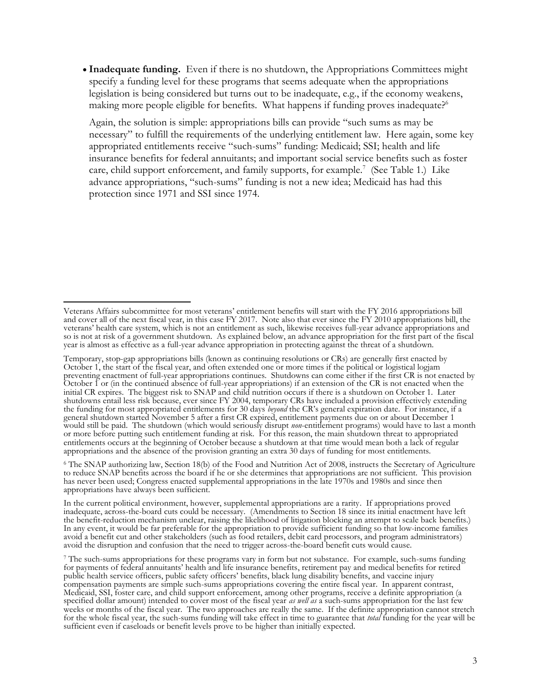• Inadequate funding. Even if there is no shutdown, the Appropriations Committees might specify a funding level for these programs that seems adequate when the appropriations legislation is being considered but turns out to be inadequate, e.g., if the economy weakens, making more people eligible for benefits. What happens if funding proves inadequate?<sup>6</sup>

Again, the solution is simple: appropriations bills can provide "such sums as may be necessary" to fulfill the requirements of the underlying entitlement law. Here again, some key appropriated entitlements receive "such-sums" funding: Medicaid; SSI; health and life insurance benefits for federal annuitants; and important social service benefits such as foster care, child support enforcement, and family supports, for example.<sup>7</sup> (See Table 1.) Like advance appropriations, "such-sums" funding is not a new idea; Medicaid has had this protection since 1971 and SSI since 1974.

<sup>6</sup> The SNAP authorizing law, Section 18(b) of the Food and Nutrition Act of 2008, instructs the Secretary of Agriculture to reduce SNAP benefits across the board if he or she determines that appropriations are not sufficient. This provision has never been used; Congress enacted supplemental appropriations in the late 1970s and 1980s and since then appropriations have always been sufficient.

In the current political environment, however, supplemental appropriations are a rarity. If appropriations proved inadequate, across-the-board cuts could be necessary. (Amendments to Section 18 since its initial enactment have left the benefit-reduction mechanism unclear, raising the likelihood of litigation blocking an attempt to scale back benefits.) In any event, it would be far preferable for the appropriation to provide sufficient funding so that low-income families avoid a benefit cut and other stakeholders (such as food retailers, debit card processors, and program administrators) avoid the disruption and confusion that the need to trigger across-the-board benefit cuts would cause.

<sup>7</sup> The such-sums appropriations for these programs vary in form but not substance. For example, such-sums funding for payments of federal annuitants' health and life insurance benefits, retirement pay and medical benefits for retired public health service officers, public safety officers' benefits, black lung disability benefits, and vaccine injury compensation payments are simple such-sums appropriations covering the entire fiscal year. In apparent contrast, Medicaid, SSI, foster care, and child support enforcement, among other programs, receive a definite appropriation (a specified dollar amount) intended to cover most of the fiscal year *as well as* a such-sums appropriation for the last few weeks or months of the fiscal year. The two approaches are really the same. If the definite appropriation cannot stretch for the whole fiscal year, the such-sums funding will take effect in time to guarantee that *total* funding for the year will be sufficient even if caseloads or benefit levels prove to be higher than initially expected.

 $\overline{a}$ Veterans Affairs subcommittee for most veterans' entitlement benefits will start with the FY 2016 appropriations bill and cover all of the next fiscal year, in this case FY 2017. Note also that ever since the FY 2010 appropriations bill, the veterans' health care system, which is not an entitlement as such, likewise receives full-year advance appropriations and so is not at risk of a government shutdown. As explained below, an advance appropriation for the first part of the fiscal year is almost as effective as a full-year advance appropriation in protecting against the threat of a shutdown.

Temporary, stop-gap appropriations bills (known as continuing resolutions or CRs) are generally first enacted by October 1, the start of the fiscal year, and often extended one or more times if the political or logistical logjam preventing enactment of full-year appropriations continues. Shutdowns can come either if the first CR is not enacted by October 1 or (in the continued absence of full-year appropriations) if an extension of the CR is not enacted when the initial CR expires. The biggest risk to SNAP and child nutrition occurs if there is a shutdown on October 1. Later shutdowns entail less risk because, ever since FY 2004, temporary CRs have included a provision effectively extending the funding for most appropriated entitlements for 30 days *beyond* the CR's general expiration date. For instance, if a general shutdown started November 5 after a first CR expired, entitlement payments due on or about December 1 would still be paid. The shutdown (which would seriously disrupt *non*-entitlement programs) would have to last a month or more before putting such entitlement funding at risk. For this reason, the main shutdown threat to appropriated entitlements occurs at the beginning of October because a shutdown at that time would mean both a lack of regular appropriations and the absence of the provision granting an extra 30 days of funding for most entitlements.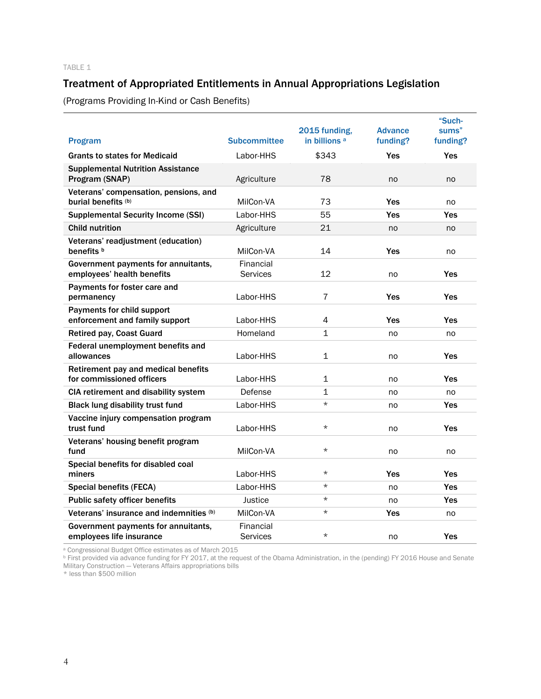## Treatment of Appropriated Entitlements in Annual Appropriations Legislation

(Programs Providing In-Kind or Cash Benefits)

| <b>Program</b>                                                    | <b>Subcommittee</b>          | 2015 funding,<br>in billions <sup>a</sup> | <b>Advance</b><br>funding? | "Such-<br>sums"<br>funding? |
|-------------------------------------------------------------------|------------------------------|-------------------------------------------|----------------------------|-----------------------------|
| <b>Grants to states for Medicaid</b>                              | Labor-HHS                    | \$343                                     | <b>Yes</b>                 | <b>Yes</b>                  |
| <b>Supplemental Nutrition Assistance</b><br>Program (SNAP)        | Agriculture                  | 78                                        | no                         | no                          |
| Veterans' compensation, pensions, and<br>burial benefits (b)      | MilCon-VA                    | 73                                        | Yes                        | no                          |
| <b>Supplemental Security Income (SSI)</b>                         | Labor-HHS                    | 55                                        | Yes                        | Yes                         |
| <b>Child nutrition</b>                                            | Agriculture                  | 21                                        | no                         | no                          |
| Veterans' readjustment (education)<br>benefits b                  | MilCon-VA                    | 14                                        | Yes                        | no                          |
| Government payments for annuitants,<br>employees' health benefits | Financial<br>Services        | 12                                        | no                         | Yes                         |
| Payments for foster care and<br>permanency                        | Labor-HHS                    | $\overline{7}$                            | Yes                        | Yes                         |
| Payments for child support<br>enforcement and family support      | Labor-HHS                    | $\overline{4}$                            | Yes                        | Yes                         |
| <b>Retired pay, Coast Guard</b>                                   | Homeland                     | $\mathbf{1}$                              | no                         | no                          |
| Federal unemployment benefits and<br>allowances                   | Labor-HHS                    | $\mathbf{1}$                              | no                         | <b>Yes</b>                  |
| Retirement pay and medical benefits<br>for commissioned officers  | Labor-HHS                    | $\mathbf{1}$                              | no                         | Yes                         |
| CIA retirement and disability system                              | Defense                      | $\mathbf 1$                               | no                         | no                          |
| <b>Black lung disability trust fund</b>                           | Labor-HHS                    | $\star$                                   | no                         | Yes                         |
| Vaccine injury compensation program<br>trust fund                 | Labor-HHS                    | $\star$                                   | no                         | Yes                         |
| Veterans' housing benefit program<br>fund                         | MilCon-VA                    | $\star$                                   | no                         | no                          |
| Special benefits for disabled coal<br>miners                      | Labor-HHS                    | $\star$                                   | Yes                        | <b>Yes</b>                  |
| <b>Special benefits (FECA)</b>                                    | Labor-HHS                    | $^\star$                                  | no                         | Yes                         |
| <b>Public safety officer benefits</b>                             | Justice                      | $\star$                                   | no                         | <b>Yes</b>                  |
| Veterans' insurance and indemnities (b)                           | MilCon-VA                    | $\star$                                   | Yes                        | no                          |
| Government payments for annuitants,<br>employees life insurance   | Financial<br><b>Services</b> | $\star$                                   | no                         | <b>Yes</b>                  |

<sup>a</sup> Congressional Budget Office estimates as of March 2015

<sup>b</sup> First provided via advance funding for FY 2017, at the request of the Obama Administration, in the (pending) FY 2016 House and Senate Military Construction — Veterans Affairs appropriations bills

\* less than \$500 million